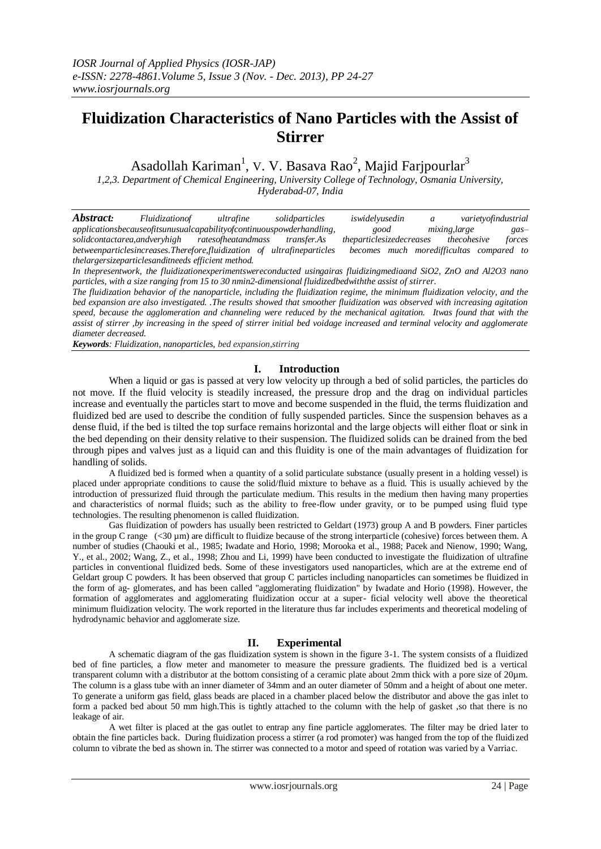# **Fluidization Characteristics of Nano Particles with the Assist of Stirrer**

Asadollah Kariman<sup>1</sup>, V. V. Basava Rao<sup>2</sup>, Majid Farjpourlar<sup>3</sup>

*1,2,3. Department of Chemical Engineering, University College of Technology, Osmania University, Hyderabad-07, India*

*Abstract: Fluidizationof ultrafine solidparticles iswidelyusedin a varietyofindustrial applicationsbecauseofitsunusualcapabilityofcontinuouspowderhandling, good mixing,large gas– solidcontactarea,andveryhigh ratesofheatandmass transfer.As theparticlesizedecreases thecohesive forces betweenparticlesincreases.Therefore,fluidization of ultrafineparticles becomes much moredifficultas compared to thelargersizeparticlesanditneeds efficient method.* 

*In thepresentwork, the fluidizationexperimentswereconducted usingairas fluidizingmediaand SiO2, ZnO and Al2O3 nano particles, with a size ranging from 15 to 30 nmin2-dimensional fluidizedbedwiththe assist of stirrer.*

*The fluidization behavior of the nanoparticle, including the fluidization regime, the minimum fluidization velocity, and the bed expansion are also investigated. .The results showed that smoother fluidization was observed with increasing agitation speed, because the agglomeration and channeling were reduced by the mechanical agitation. Itwas found that with the assist of stirrer ,by increasing in the speed of stirrer initial bed voidage increased and terminal velocity and agglomerate diameter decreased.*

*Keywords: Fluidization, nanoparticles, bed expansion,stirring*

# **I. Introduction**

When a liquid or gas is passed at very low velocity up through a bed of solid particles, the particles do not move. If the fluid velocity is steadily increased, the pressure drop and the drag on individual particles increase and eventually the particles start to move and become suspended in the fluid, the terms fluidization and fluidized bed are used to describe the condition of fully suspended particles. Since the suspension behaves as a dense fluid, if the bed is tilted the top surface remains horizontal and the large objects will either float or sink in the bed depending on their density relative to their suspension. The fluidized solids can be drained from the bed through pipes and valves just as a liquid can and this fluidity is one of the main advantages of fluidization for handling of solids.

A fluidized bed is formed when a quantity of a solid particulate substance (usually present in a holding vessel) is placed under appropriate conditions to cause the solid/fluid mixture to behave as a fluid. This is usually achieved by the introduction of pressurized fluid through the particulate medium. This results in the medium then having many properties and characteristics of normal fluids; such as the ability to free-flow under gravity, or to be pumped using fluid type technologies. The resulting phenomenon is called fluidization.

Gas fluidization of powders has usually been restricted to Geldart (1973) group A and B powders. Finer particles in the group C range (<30 µm) are difficult to fluidize because of the strong interparticle (cohesive) forces between them. A number of studies (Chaouki et al., 1985; Iwadate and Horio, 1998; Morooka et al., 1988; Pacek and Nienow, 1990; Wang, Y., et al., 2002; Wang, Z., et al., 1998; Zhou and Li, 1999) have been conducted to investigate the fluidization of ultrafine particles in conventional fluidized beds. Some of these investigators used nanoparticles, which are at the extreme end of Geldart group C powders. It has been observed that group C particles including nanoparticles can sometimes be fluidized in the form of ag- glomerates, and has been called "agglomerating fluidization" by Iwadate and Horio (1998). However, the formation of agglomerates and agglomerating fluidization occur at a super- ficial velocity well above the theoretical minimum fluidization velocity. The work reported in the literature thus far includes experiments and theoretical modeling of hydrodynamic behavior and agglomerate size.

# **II. Experimental**

A schematic diagram of the gas fluidization system is shown in the figure 3-1. The system consists of a fluidized bed of fine particles, a flow meter and manometer to measure the pressure gradients. The fluidized bed is a vertical transparent column with a distributor at the bottom consisting of a ceramic plate about 2mm thick with a pore size of 20µm. The column is a glass tube with an inner diameter of 34mm and an outer diameter of 50mm and a height of about one meter. To generate a uniform gas field, glass beads are placed in a chamber placed below the distributor and above the gas inlet to form a packed bed about 50 mm high. This is tightly attached to the column with the help of gasket, so that there is no leakage of air.

A wet filter is placed at the gas outlet to entrap any fine particle agglomerates. The filter may be dried later to obtain the fine particles back. During fluidization process a stirrer (a rod promoter) was hanged from the top of the fluidized column to vibrate the bed as shown in. The stirrer was connected to a motor and speed of rotation was varied by a Varriac.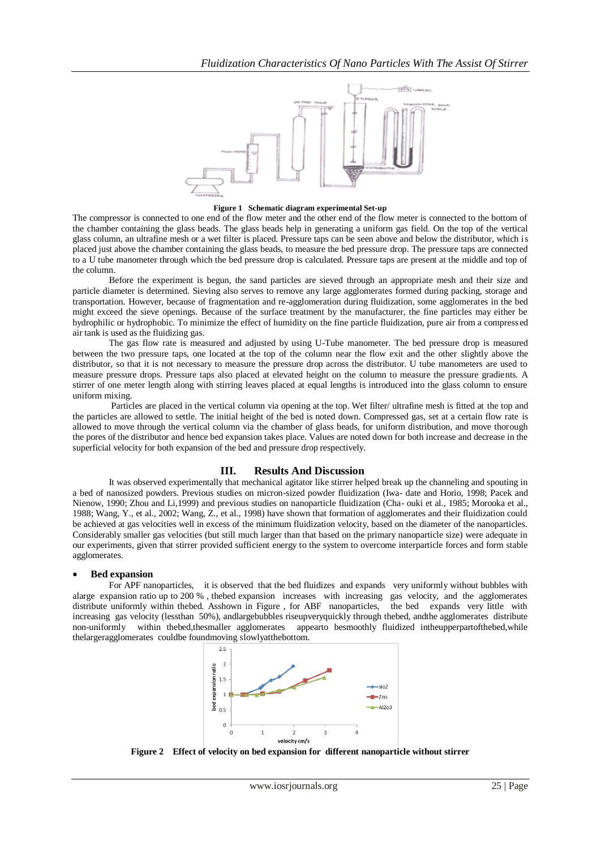

#### **Figure 1 Schematic diagram experimental Set-up**

The compressor is connected to one end of the flow meter and the other end of the flow meter is connected to the bottom of the chamber containing the glass beads. The glass beads help in generating a uniform gas field. On the top of the vertical glass column, an ultrafine mesh or a wet filter is placed. Pressure taps can be seen above and below the distributor, which is placed just above the chamber containing the glass beads, to measure the bed pressure drop. The pressure taps are connected to a U tube manometer through which the bed pressure drop is calculated. Pressure taps are present at the middle and top of the column.

Before the experiment is begun, the sand particles are sieved through an appropriate mesh and their size and particle diameter is determined. Sieving also serves to remove any large agglomerates formed during packing, storage and transportation. However, because of fragmentation and re-agglomeration during fluidization, some agglomerates in the bed might exceed the sieve openings. Because of the surface treatment by the manufacturer, the fine particles may either be hydrophilic or hydrophobic. To minimize the effect of humidity on the fine particle fluidization, pure air from a compressed air tank is used as the fluidizing gas.

The gas flow rate is measured and adjusted by using U-Tube manometer. The bed pressure drop is measured between the two pressure taps, one located at the top of the column near the flow exit and the other slightly above the distributor, so that it is not necessary to measure the pressure drop across the distributor. U tube manometers are used to measure pressure drops. Pressure taps also placed at elevated height on the column to measure the pressure gradients. A stirrer of one meter length along with stirring leaves placed at equal lengths is introduced into the glass column to ensure uniform mixing.

Particles are placed in the vertical column via opening at the top. Wet filter/ ultrafine mesh is fitted at the top and the particles are allowed to settle. The initial height of the bed is noted down. Compressed gas, set at a certain flow rate is allowed to move through the vertical column via the chamber of glass beads, for uniform distribution, and move thorough the pores of the distributor and hence bed expansion takes place. Values are noted down for both increase and decrease in the superficial velocity for both expansion of the bed and pressure drop respectively.

### **III. Results And Discussion**

It was observed experimentally that mechanical agitator like stirrer helped break up the channeling and spouting in a bed of nanosized powders. Previous studies on micron-sized powder fluidization (Iwa- date and Horio, 1998; Pacek and Nienow, 1990; Zhou and Li,1999) and previous studies on nanoparticle fluidization (Cha- ouki et al., 1985; Morooka et al., 1988; Wang, Y., et al., 2002; Wang, Z., et al., 1998) have shown that formation of agglomerates and their fluidization could be achieved at gas velocities well in excess of the minimum fluidization velocity, based on the diameter of the nanoparticles. Considerably smaller gas velocities (but still much larger than that based on the primary nanoparticle size) were adequate in our experiments, given that stirrer provided sufficient energy to the system to overcome interparticle forces and form stable agglomerates.

### **Bed expansion**

For APF nanoparticles, it is observed that the bed fluidizes and expands very uniformly without bubbles with alarge expansion ratio up to 200 %, thebed expansion increases with increasing gas velocity, and the agglomerates distribute uniformly within thebed. Asshown in Figure , for ABF nanoparticles, the bed expands very little with increasing gas velocity (lessthan 50%), andlargebubbles riseupveryquickly through thebed, andthe agglomerates distribute non-uniformly within thebed,thesmaller agglomerates appearto besmoothly fluidized intheupperpartofthebed,while thelargeragglomerates couldbe foundmoving slowlyatthebottom.



**Figure 2 Effect of velocity on bed expansion for different nanoparticle without stirrer**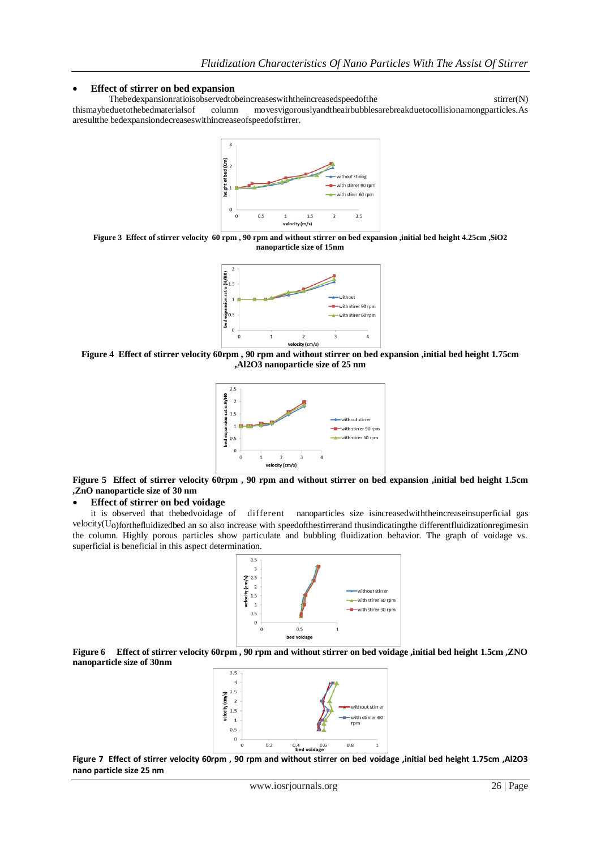## **Effect of stirrer on bed expansion**

Thebedexpansionratioisobservedtobeincreaseswiththeincreasedspeedofthe stirrer(N) thismaybeduetothebedmaterialsof column movesvigorouslyandtheairbubblesarebreakduetocollisionamongparticles.As aresultthe bedexpansiondecreaseswithincreaseofspeedofstirrer.



**Figure 3 Effect of stirrer velocity 60 rpm , 90 rpm and without stirrer on bed expansion ,initial bed height 4.25cm ,SiO2 nanoparticle size of 15nm**



**Figure 4 Effect of stirrer velocity 60rpm , 90 rpm and without stirrer on bed expansion ,initial bed height 1.75cm ,Al2O3 nanoparticle size of 25 nm**



**Figure 5 Effect of stirrer velocity 60rpm , 90 rpm and without stirrer on bed expansion ,initial bed height 1.5cm ,ZnO nanoparticle size of 30 nm**

#### **Effect of stirrer on bed voidage**

it is observed that thebedvoidage of different nanoparticles size isincreasedwiththeincreaseinsuperficial gas velocity(Uo)forthefluidizedbed an so also increase with speedofthestirrerand thusindicatingthe differentfluidizationregimesin the column. Highly porous particles show particulate and bubbling fluidization behavior. The graph of voidage vs. superficial is beneficial in this aspect determination.



**Figure 6 Effect of stirrer velocity 60rpm , 90 rpm and without stirrer on bed voidage ,initial bed height 1.5cm ,ZNO nanoparticle size of 30nm**



**Figure 7 Effect of stirrer velocity 60rpm , 90 rpm and without stirrer on bed voidage ,initial bed height 1.75cm ,Al2O3 nano particle size 25 nm**